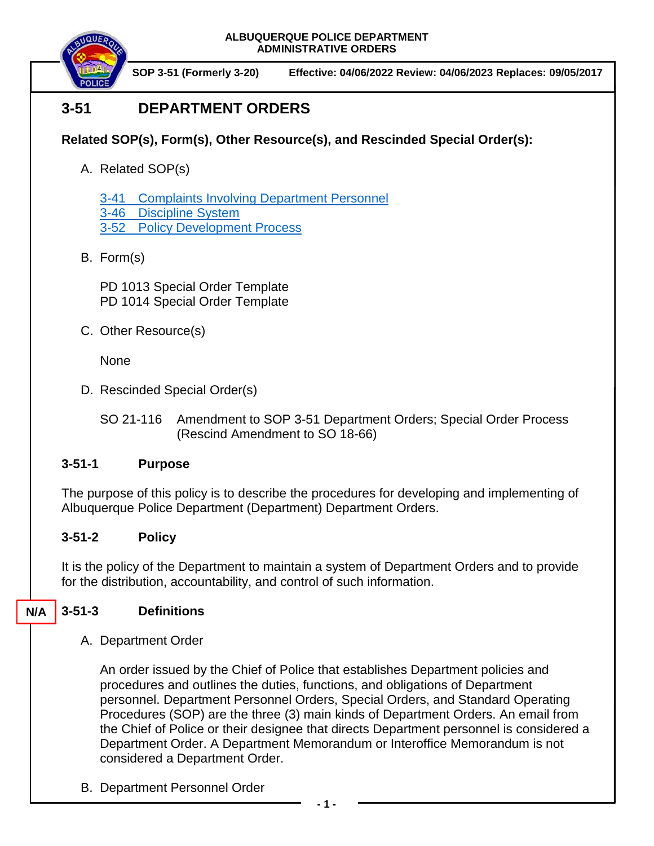

**SOP 3-51 (Formerly 3-20) Effective: 04/06/2022 Review: 04/06/2023 Replaces: 09/05/2017**

# **3-51 DEPARTMENT ORDERS**

## **Related SOP(s), Form(s), Other Resource(s), and Rescinded Special Order(s):**

- A. Related SOP(s)
	- 3-41 [Complaints Involving Department Personnel](https://powerdms.com/docs/184?q=3-41)
	- 3-46 [Discipline System](https://powerdms.com/docs/28?q=3-46)
	- 3-52 [Policy Development Process](https://powerdms.com/docs/206?q=3-52)
- B. Form(s)

PD 1013 Special Order Template PD 1014 Special Order Template

C. Other Resource(s)

None

D. Rescinded Special Order(s)

SO 21-116 Amendment to SOP 3-51 Department Orders; Special Order Process (Rescind Amendment to SO 18-66)

## **3-51-1 Purpose**

The purpose of this policy is to describe the procedures for developing and implementing of Albuquerque Police Department (Department) Department Orders.

## **3-51-2 Policy**

It is the policy of the Department to maintain a system of Department Orders and to provide for the distribution, accountability, and control of such information.

#### **3-51-3 Definitions N/A**

A. Department Order

An order issued by the Chief of Police that establishes Department policies and procedures and outlines the duties, functions, and obligations of Department personnel. Department Personnel Orders, Special Orders, and Standard Operating Procedures (SOP) are the three (3) main kinds of Department Orders. An email from the Chief of Police or their designee that directs Department personnel is considered a Department Order. A Department Memorandum or Interoffice Memorandum is not considered a Department Order.

B. Department Personnel Order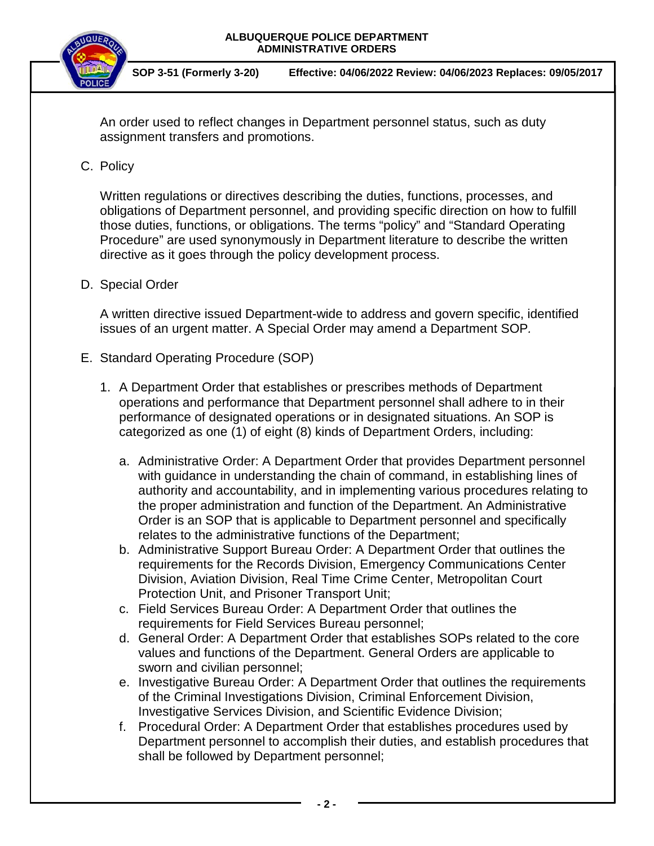



**SOP 3-51 (Formerly 3-20) Effective: 04/06/2022 Review: 04/06/2023 Replaces: 09/05/2017**

An order used to reflect changes in Department personnel status, such as duty assignment transfers and promotions.

## C. Policy

Written regulations or directives describing the duties, functions, processes, and obligations of Department personnel, and providing specific direction on how to fulfill those duties, functions, or obligations. The terms "policy" and "Standard Operating Procedure" are used synonymously in Department literature to describe the written directive as it goes through the policy development process.

### D. Special Order

A written directive issued Department-wide to address and govern specific, identified issues of an urgent matter. A Special Order may amend a Department SOP*.*

### E. Standard Operating Procedure (SOP)

- 1. A Department Order that establishes or prescribes methods of Department operations and performance that Department personnel shall adhere to in their performance of designated operations or in designated situations. An SOP is categorized as one (1) of eight (8) kinds of Department Orders, including:
	- a. Administrative Order: A Department Order that provides Department personnel with guidance in understanding the chain of command, in establishing lines of authority and accountability, and in implementing various procedures relating to the proper administration and function of the Department. An Administrative Order is an SOP that is applicable to Department personnel and specifically relates to the administrative functions of the Department;
	- b. Administrative Support Bureau Order: A Department Order that outlines the requirements for the Records Division, Emergency Communications Center Division, Aviation Division, Real Time Crime Center, Metropolitan Court Protection Unit, and Prisoner Transport Unit;
	- c. Field Services Bureau Order: A Department Order that outlines the requirements for Field Services Bureau personnel;
	- d. General Order: A Department Order that establishes SOPs related to the core values and functions of the Department. General Orders are applicable to sworn and civilian personnel;
	- e. Investigative Bureau Order: A Department Order that outlines the requirements of the Criminal Investigations Division, Criminal Enforcement Division, Investigative Services Division, and Scientific Evidence Division;
	- f. Procedural Order: A Department Order that establishes procedures used by Department personnel to accomplish their duties, and establish procedures that shall be followed by Department personnel;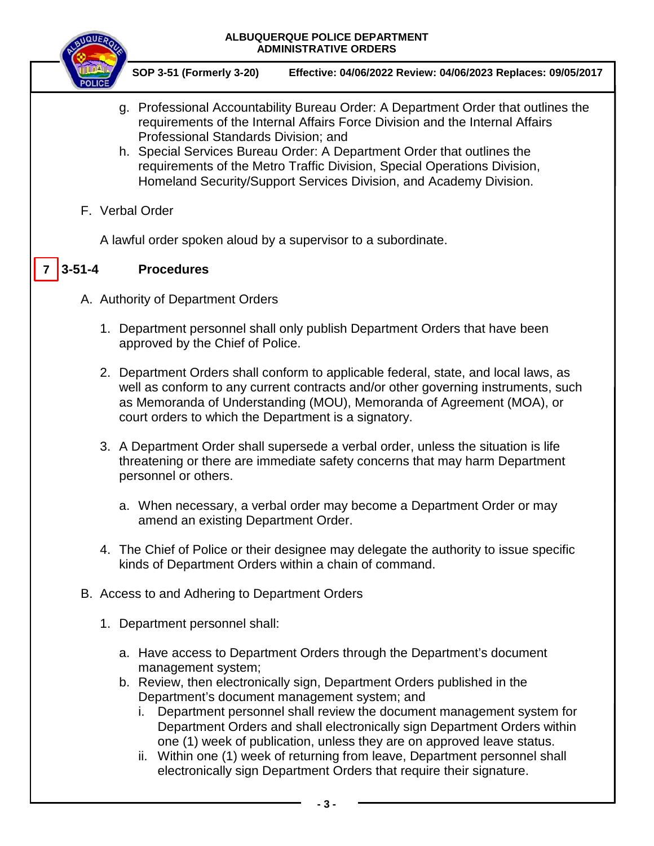

**SOP 3-51 (Formerly 3-20) Effective: 04/06/2022 Review: 04/06/2023 Replaces: 09/05/2017**

- g. Professional Accountability Bureau Order: A Department Order that outlines the requirements of the Internal Affairs Force Division and the Internal Affairs Professional Standards Division; and
- h. Special Services Bureau Order: A Department Order that outlines the requirements of the Metro Traffic Division, Special Operations Division, Homeland Security/Support Services Division, and Academy Division.
- F. Verbal Order

A lawful order spoken aloud by a supervisor to a subordinate.

#### **3-51-4 Procedures**  $7 \mid 3 - 51 - 4$

- A. Authority of Department Orders
	- 1. Department personnel shall only publish Department Orders that have been approved by the Chief of Police.
	- 2. Department Orders shall conform to applicable federal, state, and local laws, as well as conform to any current contracts and/or other governing instruments, such as Memoranda of Understanding (MOU), Memoranda of Agreement (MOA), or court orders to which the Department is a signatory.
	- 3. A Department Order shall supersede a verbal order, unless the situation is life threatening or there are immediate safety concerns that may harm Department personnel or others.
		- a. When necessary, a verbal order may become a Department Order or may amend an existing Department Order.
	- 4. The Chief of Police or their designee may delegate the authority to issue specific kinds of Department Orders within a chain of command.
- B. Access to and Adhering to Department Orders
	- 1. Department personnel shall:
		- a. Have access to Department Orders through the Department's document management system;
		- b. Review, then electronically sign, Department Orders published in the Department's document management system; and
			- i. Department personnel shall review the document management system for Department Orders and shall electronically sign Department Orders within one (1) week of publication, unless they are on approved leave status.
			- ii. Within one (1) week of returning from leave, Department personnel shall electronically sign Department Orders that require their signature.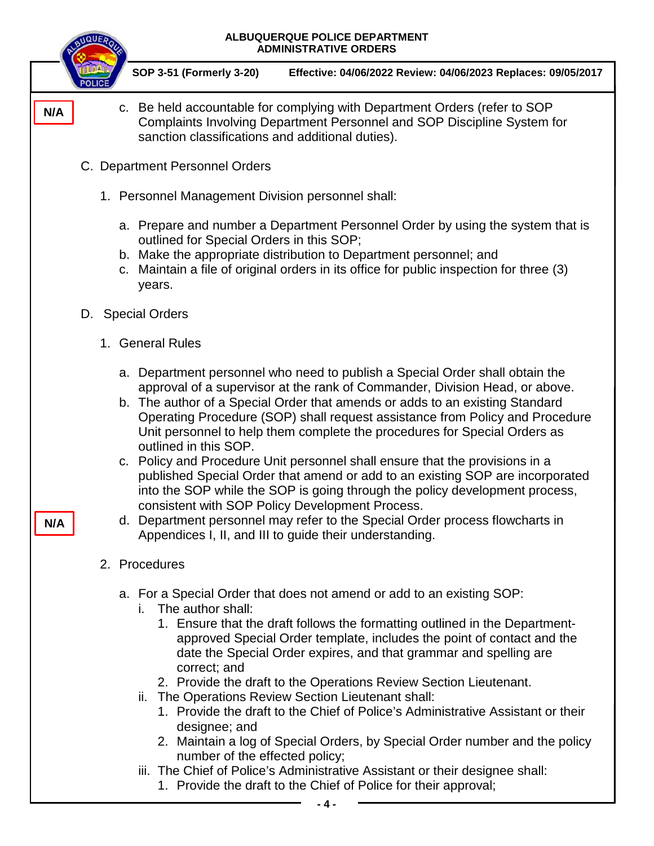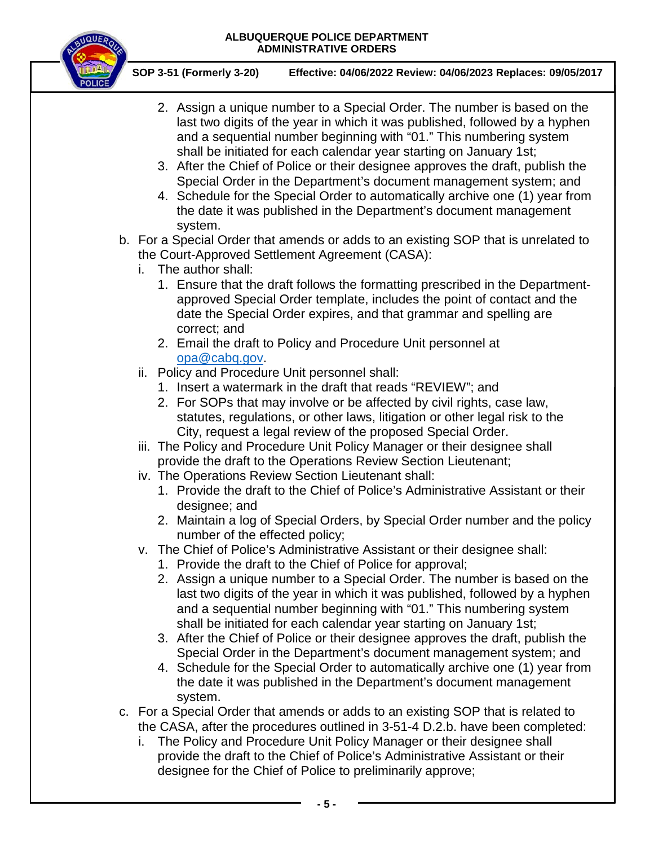

**SOP 3-51 (Formerly 3-20) Effective: 04/06/2022 Review: 04/06/2023 Replaces: 09/05/2017**

- 2. Assign a unique number to a Special Order. The number is based on the last two digits of the year in which it was published, followed by a hyphen and a sequential number beginning with "01." This numbering system shall be initiated for each calendar year starting on January 1st;
- 3. After the Chief of Police or their designee approves the draft, publish the Special Order in the Department's document management system; and
- 4. Schedule for the Special Order to automatically archive one (1) year from the date it was published in the Department's document management system.
- b. For a Special Order that amends or adds to an existing SOP that is unrelated to the Court-Approved Settlement Agreement (CASA):
	- i. The author shall:
		- 1. Ensure that the draft follows the formatting prescribed in the Departmentapproved Special Order template, includes the point of contact and the date the Special Order expires, and that grammar and spelling are correct; and
		- 2. Email the draft to Policy and Procedure Unit personnel at [opa@cabq.gov.](mailto:opa@cabq.gov)
	- ii. Policy and Procedure Unit personnel shall:
		- 1. Insert a watermark in the draft that reads "REVIEW"; and
		- 2. For SOPs that may involve or be affected by civil rights, case law, statutes, regulations, or other laws, litigation or other legal risk to the City, request a legal review of the proposed Special Order.
	- iii. The Policy and Procedure Unit Policy Manager or their designee shall provide the draft to the Operations Review Section Lieutenant;
	- iv. The Operations Review Section Lieutenant shall:
		- 1. Provide the draft to the Chief of Police's Administrative Assistant or their designee; and
		- 2. Maintain a log of Special Orders, by Special Order number and the policy number of the effected policy;
	- v. The Chief of Police's Administrative Assistant or their designee shall:
		- 1. Provide the draft to the Chief of Police for approval;
		- 2. Assign a unique number to a Special Order. The number is based on the last two digits of the year in which it was published, followed by a hyphen and a sequential number beginning with "01." This numbering system shall be initiated for each calendar year starting on January 1st;
		- 3. After the Chief of Police or their designee approves the draft, publish the Special Order in the Department's document management system; and
		- 4. Schedule for the Special Order to automatically archive one (1) year from the date it was published in the Department's document management system.
- c. For a Special Order that amends or adds to an existing SOP that is related to the CASA, after the procedures outlined in 3-51-4 D.2.b. have been completed:
	- i. The Policy and Procedure Unit Policy Manager or their designee shall provide the draft to the Chief of Police's Administrative Assistant or their designee for the Chief of Police to preliminarily approve;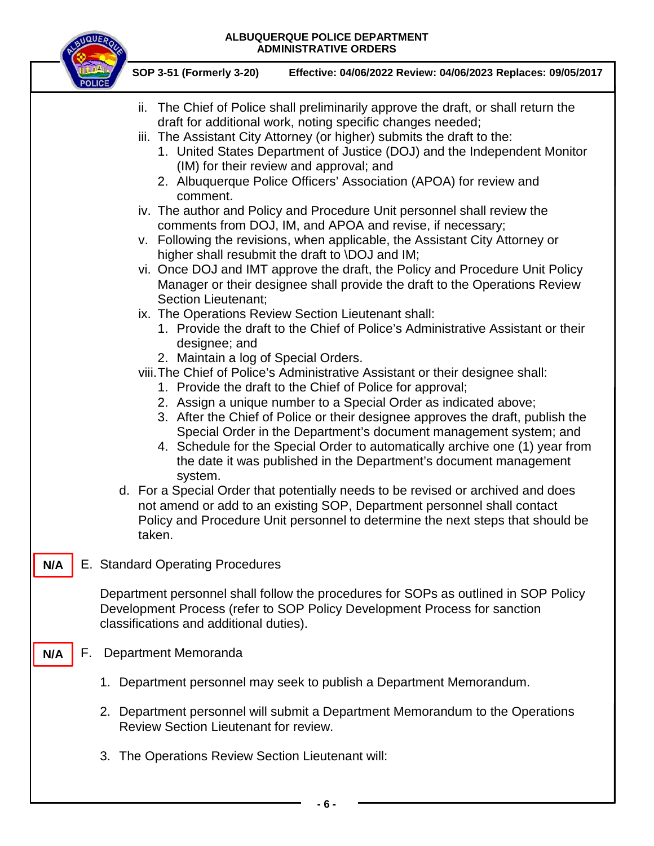

**SOP 3-51 (Formerly 3-20) Effective: 04/06/2022 Review: 04/06/2023 Replaces: 09/05/2017**

| <b>POLICE</b> | ii. The Chief of Police shall preliminarily approve the draft, or shall return the<br>draft for additional work, noting specific changes needed;<br>iii. The Assistant City Attorney (or higher) submits the draft to the:<br>1. United States Department of Justice (DOJ) and the Independent Monitor<br>(IM) for their review and approval; and<br>2. Albuquerque Police Officers' Association (APOA) for review and<br>comment.<br>iv. The author and Policy and Procedure Unit personnel shall review the<br>comments from DOJ, IM, and APOA and revise, if necessary;<br>v. Following the revisions, when applicable, the Assistant City Attorney or<br>higher shall resubmit the draft to \DOJ and IM;<br>vi. Once DOJ and IMT approve the draft, the Policy and Procedure Unit Policy<br>Manager or their designee shall provide the draft to the Operations Review<br>Section Lieutenant;<br>ix. The Operations Review Section Lieutenant shall:<br>1. Provide the draft to the Chief of Police's Administrative Assistant or their<br>designee; and<br>2. Maintain a log of Special Orders.<br>viii. The Chief of Police's Administrative Assistant or their designee shall:<br>1. Provide the draft to the Chief of Police for approval;<br>2. Assign a unique number to a Special Order as indicated above;<br>3. After the Chief of Police or their designee approves the draft, publish the<br>Special Order in the Department's document management system; and<br>4. Schedule for the Special Order to automatically archive one (1) year from<br>the date it was published in the Department's document management<br>system.<br>d. For a Special Order that potentially needs to be revised or archived and does<br>not amend or add to an existing SOP, Department personnel shall contact<br>Policy and Procedure Unit personnel to determine the next steps that should be<br>taken. |
|---------------|----------------------------------------------------------------------------------------------------------------------------------------------------------------------------------------------------------------------------------------------------------------------------------------------------------------------------------------------------------------------------------------------------------------------------------------------------------------------------------------------------------------------------------------------------------------------------------------------------------------------------------------------------------------------------------------------------------------------------------------------------------------------------------------------------------------------------------------------------------------------------------------------------------------------------------------------------------------------------------------------------------------------------------------------------------------------------------------------------------------------------------------------------------------------------------------------------------------------------------------------------------------------------------------------------------------------------------------------------------------------------------------------------------------------------------------------------------------------------------------------------------------------------------------------------------------------------------------------------------------------------------------------------------------------------------------------------------------------------------------------------------------------------------------------------------------------------------------------------------------------------------------------------------|
| N/A           | E. Standard Operating Procedures                                                                                                                                                                                                                                                                                                                                                                                                                                                                                                                                                                                                                                                                                                                                                                                                                                                                                                                                                                                                                                                                                                                                                                                                                                                                                                                                                                                                                                                                                                                                                                                                                                                                                                                                                                                                                                                                         |
|               | Department personnel shall follow the procedures for SOPs as outlined in SOP Policy<br>Development Process (refer to SOP Policy Development Process for sanction<br>classifications and additional duties).                                                                                                                                                                                                                                                                                                                                                                                                                                                                                                                                                                                                                                                                                                                                                                                                                                                                                                                                                                                                                                                                                                                                                                                                                                                                                                                                                                                                                                                                                                                                                                                                                                                                                              |
| F.<br>N/A     | Department Memoranda                                                                                                                                                                                                                                                                                                                                                                                                                                                                                                                                                                                                                                                                                                                                                                                                                                                                                                                                                                                                                                                                                                                                                                                                                                                                                                                                                                                                                                                                                                                                                                                                                                                                                                                                                                                                                                                                                     |
|               | 1. Department personnel may seek to publish a Department Memorandum.                                                                                                                                                                                                                                                                                                                                                                                                                                                                                                                                                                                                                                                                                                                                                                                                                                                                                                                                                                                                                                                                                                                                                                                                                                                                                                                                                                                                                                                                                                                                                                                                                                                                                                                                                                                                                                     |
|               | 2. Department personnel will submit a Department Memorandum to the Operations<br>Review Section Lieutenant for review.                                                                                                                                                                                                                                                                                                                                                                                                                                                                                                                                                                                                                                                                                                                                                                                                                                                                                                                                                                                                                                                                                                                                                                                                                                                                                                                                                                                                                                                                                                                                                                                                                                                                                                                                                                                   |
|               | 3. The Operations Review Section Lieutenant will:                                                                                                                                                                                                                                                                                                                                                                                                                                                                                                                                                                                                                                                                                                                                                                                                                                                                                                                                                                                                                                                                                                                                                                                                                                                                                                                                                                                                                                                                                                                                                                                                                                                                                                                                                                                                                                                        |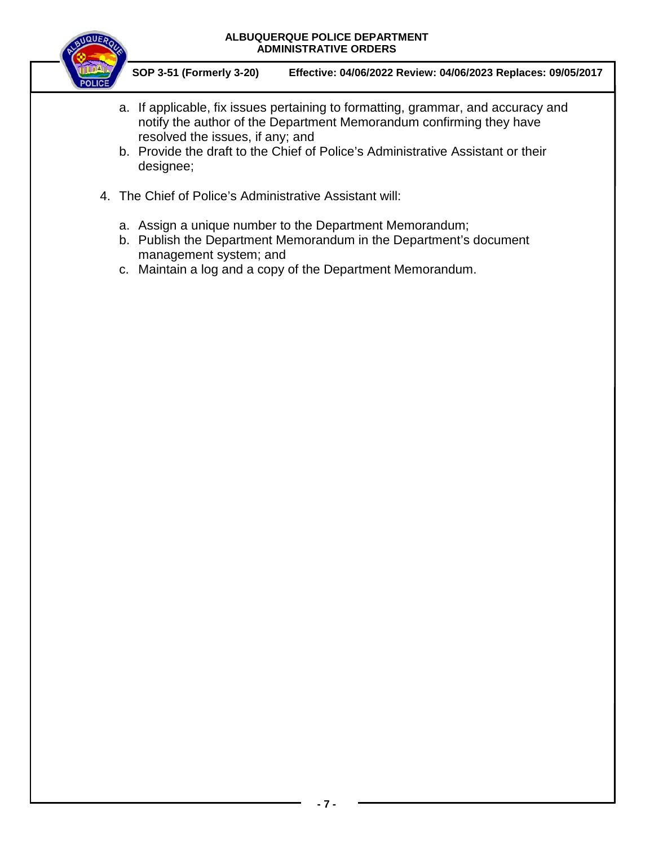

**SOP 3-51 (Formerly 3-20) Effective: 04/06/2022 Review: 04/06/2023 Replaces: 09/05/2017**

- a. If applicable, fix issues pertaining to formatting, grammar, and accuracy and notify the author of the Department Memorandum confirming they have resolved the issues, if any; and
- b. Provide the draft to the Chief of Police's Administrative Assistant or their designee;
- 4. The Chief of Police's Administrative Assistant will:
	- a. Assign a unique number to the Department Memorandum;
	- b. Publish the Department Memorandum in the Department's document management system; and
	- c. Maintain a log and a copy of the Department Memorandum.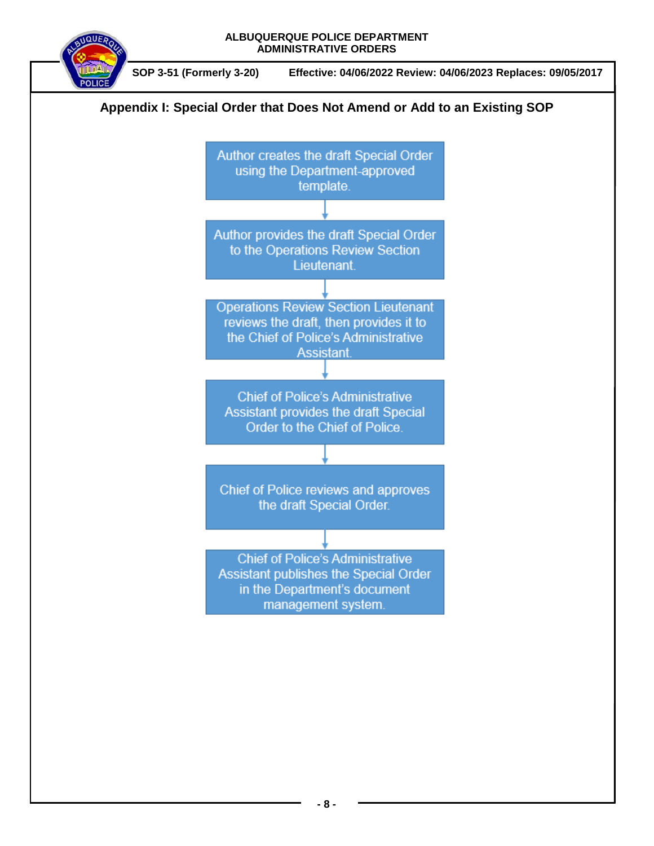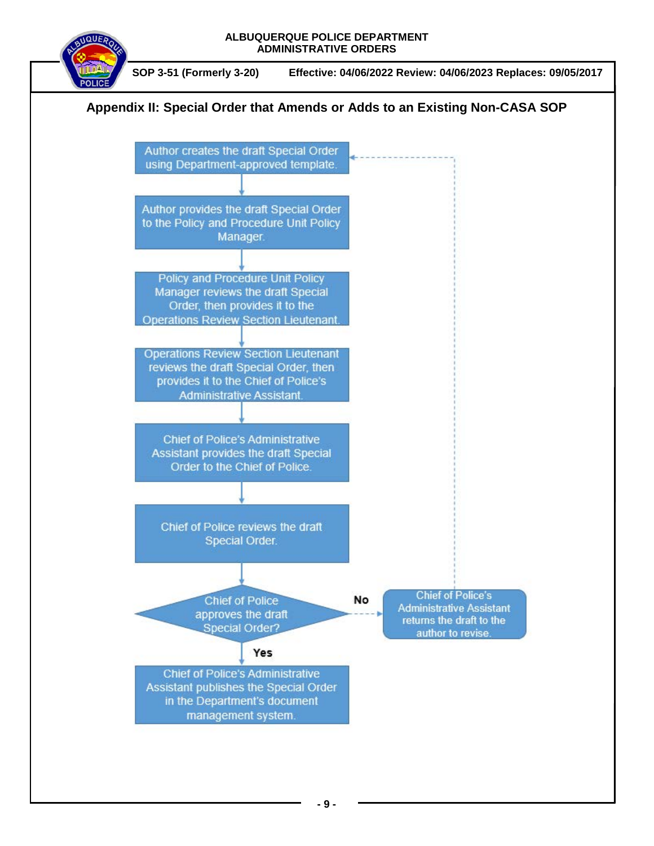